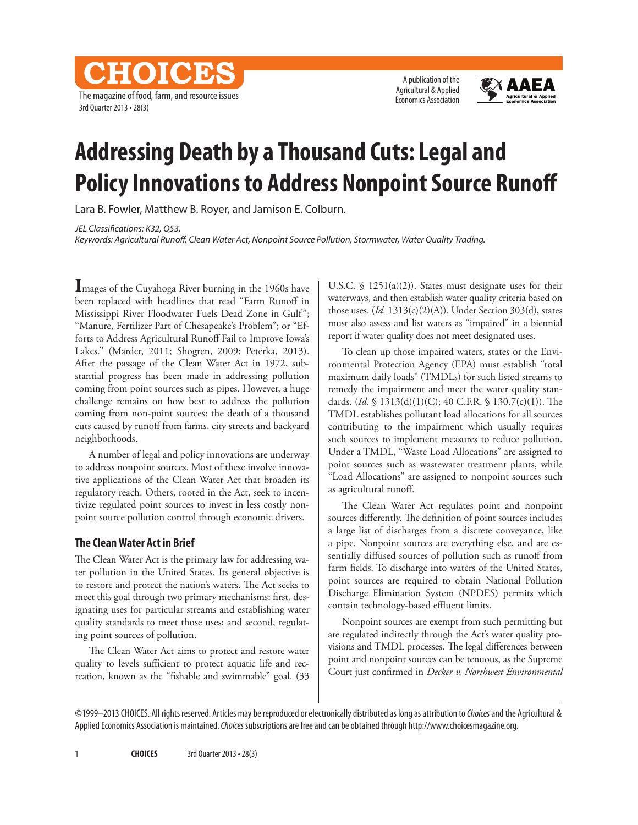The magazine of food, farm, and resource issues 3rd Quarter 2013 • 28(3)

CHOICES

A publication of the Agricultural & Applied Economics Association



# **Addressing Death by a Thousand Cuts: Legal and Policy Innovations to Address Nonpoint Source Runoff**

Lara B. Fowler, Matthew B. Royer, and Jamison E. Colburn.

*JEL Classifications: K32, Q53.*

*Keywords: Agricultural Runoff, Clean Water Act, Nonpoint Source Pollution, Stormwater, Water Quality Trading.*

**I**mages of the Cuyahoga River burning in the 1960s have been replaced with headlines that read "Farm Runoff in Mississippi River Floodwater Fuels Dead Zone in Gulf"; "Manure, Fertilizer Part of Chesapeake's Problem"; or "Efforts to Address Agricultural Runoff Fail to Improve Iowa's Lakes." (Marder, 2011; Shogren, 2009; Peterka, 2013). After the passage of the Clean Water Act in 1972, substantial progress has been made in addressing pollution coming from point sources such as pipes. However, a huge challenge remains on how best to address the pollution coming from non-point sources: the death of a thousand cuts caused by runoff from farms, city streets and backyard neighborhoods.

A number of legal and policy innovations are underway to address nonpoint sources. Most of these involve innovative applications of the Clean Water Act that broaden its regulatory reach. Others, rooted in the Act, seek to incentivize regulated point sources to invest in less costly nonpoint source pollution control through economic drivers.

#### **The Clean Water Act in Brief**

The Clean Water Act is the primary law for addressing water pollution in the United States. Its general objective is to restore and protect the nation's waters. The Act seeks to meet this goal through two primary mechanisms: first, designating uses for particular streams and establishing water quality standards to meet those uses; and second, regulating point sources of pollution.

The Clean Water Act aims to protect and restore water quality to levels sufficient to protect aquatic life and recreation, known as the "fishable and swimmable" goal. (33

U.S.C.  $\frac{1251(a)(2)}{26}$ . States must designate uses for their waterways, and then establish water quality criteria based on those uses. (*Id.* 1313(c)(2)(A)). Under Section 303(d), states must also assess and list waters as "impaired" in a biennial report if water quality does not meet designated uses.

To clean up those impaired waters, states or the Environmental Protection Agency (EPA) must establish "total maximum daily loads" (TMDLs) for such listed streams to remedy the impairment and meet the water quality standards. (*Id.* § 1313(d)(1)(C); 40 C.F.R. § 130.7(c)(1)). The TMDL establishes pollutant load allocations for all sources contributing to the impairment which usually requires such sources to implement measures to reduce pollution. Under a TMDL, "Waste Load Allocations" are assigned to point sources such as wastewater treatment plants, while "Load Allocations" are assigned to nonpoint sources such as agricultural runoff.

The Clean Water Act regulates point and nonpoint sources differently. The definition of point sources includes a large list of discharges from a discrete conveyance, like a pipe. Nonpoint sources are everything else, and are essentially diffused sources of pollution such as runoff from farm fields. To discharge into waters of the United States, point sources are required to obtain National Pollution Discharge Elimination System (NPDES) permits which contain technology-based effluent limits.

Nonpoint sources are exempt from such permitting but are regulated indirectly through the Act's water quality provisions and TMDL processes. The legal differences between point and nonpoint sources can be tenuous, as the Supreme Court just confirmed in *Decker v. Northwest Environmental* 

©1999–2013 CHOICES. All rights reserved. Articles may be reproduced or electronically distributed as long as attribution to *Choices* and the Agricultural & Applied Economics Association is maintained. *Choices* subscriptions are free and can be obtained through http://www.choicesmagazine.org.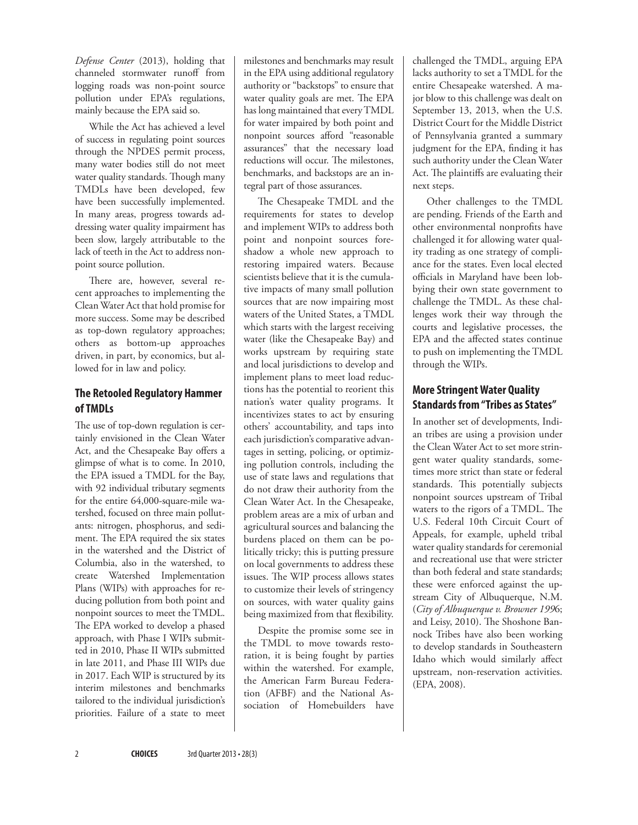*Defense Center* (2013), holding that channeled stormwater runoff from logging roads was non-point source pollution under EPA's regulations, mainly because the EPA said so.

While the Act has achieved a level of success in regulating point sources through the NPDES permit process, many water bodies still do not meet water quality standards. Though many TMDLs have been developed, few have been successfully implemented. In many areas, progress towards addressing water quality impairment has been slow, largely attributable to the lack of teeth in the Act to address nonpoint source pollution.

There are, however, several recent approaches to implementing the Clean Water Act that hold promise for more success. Some may be described as top-down regulatory approaches; others as bottom-up approaches driven, in part, by economics, but allowed for in law and policy.

#### **The Retooled Regulatory Hammer of TMDLs**

The use of top-down regulation is certainly envisioned in the Clean Water Act, and the Chesapeake Bay offers a glimpse of what is to come. In 2010, the EPA issued a TMDL for the Bay, with 92 individual tributary segments for the entire 64,000-square-mile watershed, focused on three main pollutants: nitrogen, phosphorus, and sediment. The EPA required the six states in the watershed and the District of Columbia, also in the watershed, to create Watershed Implementation Plans (WIPs) with approaches for reducing pollution from both point and nonpoint sources to meet the TMDL. The EPA worked to develop a phased approach, with Phase I WIPs submitted in 2010, Phase II WIPs submitted in late 2011, and Phase III WIPs due in 2017. Each WIP is structured by its interim milestones and benchmarks tailored to the individual jurisdiction's priorities. Failure of a state to meet milestones and benchmarks may result in the EPA using additional regulatory authority or "backstops" to ensure that water quality goals are met. The EPA has long maintained that every TMDL for water impaired by both point and nonpoint sources afford "reasonable assurances" that the necessary load reductions will occur. The milestones, benchmarks, and backstops are an integral part of those assurances.

The Chesapeake TMDL and the requirements for states to develop and implement WIPs to address both point and nonpoint sources foreshadow a whole new approach to restoring impaired waters. Because scientists believe that it is the cumulative impacts of many small pollution sources that are now impairing most waters of the United States, a TMDL which starts with the largest receiving water (like the Chesapeake Bay) and works upstream by requiring state and local jurisdictions to develop and implement plans to meet load reductions has the potential to reorient this nation's water quality programs. It incentivizes states to act by ensuring others' accountability, and taps into each jurisdiction's comparative advantages in setting, policing, or optimizing pollution controls, including the use of state laws and regulations that do not draw their authority from the Clean Water Act. In the Chesapeake, problem areas are a mix of urban and agricultural sources and balancing the burdens placed on them can be politically tricky; this is putting pressure on local governments to address these issues. The WIP process allows states to customize their levels of stringency on sources, with water quality gains being maximized from that flexibility.

Despite the promise some see in the TMDL to move towards restoration, it is being fought by parties within the watershed. For example, the American Farm Bureau Federation (AFBF) and the National Association of Homebuilders have

challenged the TMDL, arguing EPA lacks authority to set a TMDL for the entire Chesapeake watershed. A major blow to this challenge was dealt on September 13, 2013, when the U.S. District Court for the Middle District of Pennsylvania granted a summary judgment for the EPA, finding it has such authority under the Clean Water Act. The plaintiffs are evaluating their next steps.

Other challenges to the TMDL are pending. Friends of the Earth and other environmental nonprofits have challenged it for allowing water quality trading as one strategy of compliance for the states. Even local elected officials in Maryland have been lobbying their own state government to challenge the TMDL. As these challenges work their way through the courts and legislative processes, the EPA and the affected states continue to push on implementing the TMDL through the WIPs.

## **More Stringent Water Quality Standards from "Tribes as States"**

In another set of developments, Indian tribes are using a provision under the Clean Water Act to set more stringent water quality standards, sometimes more strict than state or federal standards. This potentially subjects nonpoint sources upstream of Tribal waters to the rigors of a TMDL. The U.S. Federal 10th Circuit Court of Appeals, for example, upheld tribal water quality standards for ceremonial and recreational use that were stricter than both federal and state standards; these were enforced against the upstream City of Albuquerque, N.M. (*City of Albuquerque v. Browner 199*6; and Leisy, 2010). The Shoshone Bannock Tribes have also been working to develop standards in Southeastern Idaho which would similarly affect upstream, non-reservation activities. (EPA, 2008).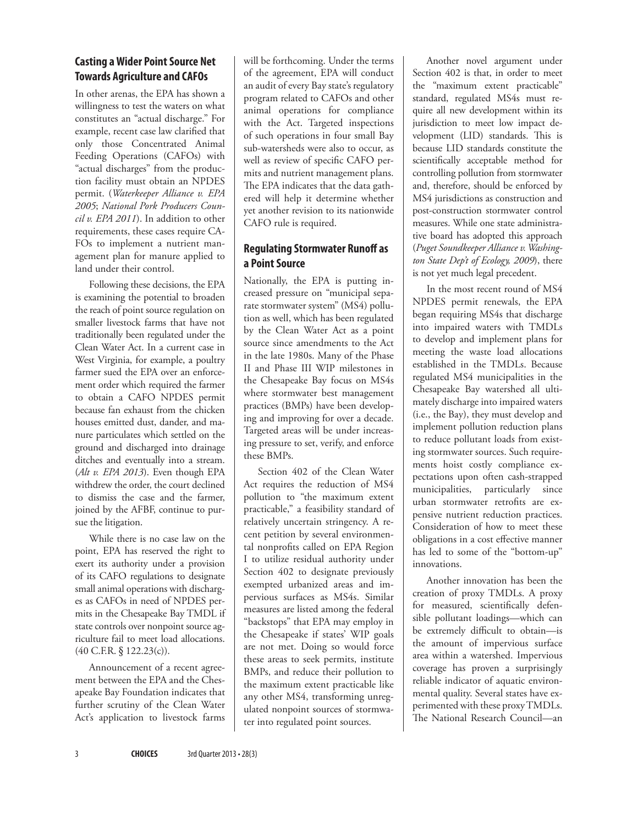#### **Casting a Wider Point Source Net Towards Agriculture and CAFOs**

In other arenas, the EPA has shown a willingness to test the waters on what constitutes an "actual discharge." For example, recent case law clarified that only those Concentrated Animal Feeding Operations (CAFOs) with "actual discharges" from the production facility must obtain an NPDES permit. (*Waterkeeper Alliance v. EPA 2005*; *National Pork Producers Council v. EPA 2011*). In addition to other requirements, these cases require CA-FOs to implement a nutrient management plan for manure applied to land under their control.

Following these decisions, the EPA is examining the potential to broaden the reach of point source regulation on smaller livestock farms that have not traditionally been regulated under the Clean Water Act. In a current case in West Virginia, for example, a poultry farmer sued the EPA over an enforcement order which required the farmer to obtain a CAFO NPDES permit because fan exhaust from the chicken houses emitted dust, dander, and manure particulates which settled on the ground and discharged into drainage ditches and eventually into a stream. (*Alt v. EPA 2013*). Even though EPA withdrew the order, the court declined to dismiss the case and the farmer, joined by the AFBF, continue to pursue the litigation.

While there is no case law on the point, EPA has reserved the right to exert its authority under a provision of its CAFO regulations to designate small animal operations with discharges as CAFOs in need of NPDES permits in the Chesapeake Bay TMDL if state controls over nonpoint source agriculture fail to meet load allocations. (40 C.F.R. § 122.23(c)).

Announcement of a recent agreement between the EPA and the Chesapeake Bay Foundation indicates that further scrutiny of the Clean Water Act's application to livestock farms will be forthcoming. Under the terms of the agreement, EPA will conduct an audit of every Bay state's regulatory program related to CAFOs and other animal operations for compliance with the Act. Targeted inspections of such operations in four small Bay sub-watersheds were also to occur, as well as review of specific CAFO permits and nutrient management plans. The EPA indicates that the data gathered will help it determine whether yet another revision to its nationwide CAFO rule is required.

## **Regulating Stormwater Runoff as a Point Source**

Nationally, the EPA is putting increased pressure on "municipal separate stormwater system" (MS4) pollution as well, which has been regulated by the Clean Water Act as a point source since amendments to the Act in the late 1980s. Many of the Phase II and Phase III WIP milestones in the Chesapeake Bay focus on MS4s where stormwater best management practices (BMPs) have been developing and improving for over a decade. Targeted areas will be under increasing pressure to set, verify, and enforce these BMPs.

Section 402 of the Clean Water Act requires the reduction of MS4 pollution to "the maximum extent practicable," a feasibility standard of relatively uncertain stringency. A recent petition by several environmental nonprofits called on EPA Region I to utilize residual authority under Section 402 to designate previously exempted urbanized areas and impervious surfaces as MS4s. Similar measures are listed among the federal "backstops" that EPA may employ in the Chesapeake if states' WIP goals are not met. Doing so would force these areas to seek permits, institute BMPs, and reduce their pollution to the maximum extent practicable like any other MS4, transforming unregulated nonpoint sources of stormwater into regulated point sources.

Another novel argument under Section 402 is that, in order to meet the "maximum extent practicable" standard, regulated MS4s must require all new development within its jurisdiction to meet low impact development (LID) standards. This is because LID standards constitute the scientifically acceptable method for controlling pollution from stormwater and, therefore, should be enforced by MS4 jurisdictions as construction and post-construction stormwater control measures. While one state administrative board has adopted this approach (*Puget Soundkeeper Alliance v. Washington State Dep't of Ecology, 2009*), there is not yet much legal precedent.

In the most recent round of MS4 NPDES permit renewals, the EPA began requiring MS4s that discharge into impaired waters with TMDLs to develop and implement plans for meeting the waste load allocations established in the TMDLs. Because regulated MS4 municipalities in the Chesapeake Bay watershed all ultimately discharge into impaired waters (i.e., the Bay), they must develop and implement pollution reduction plans to reduce pollutant loads from existing stormwater sources. Such requirements hoist costly compliance expectations upon often cash-strapped municipalities, particularly since urban stormwater retrofits are expensive nutrient reduction practices. Consideration of how to meet these obligations in a cost effective manner has led to some of the "bottom-up" innovations.

Another innovation has been the creation of proxy TMDLs. A proxy for measured, scientifically defensible pollutant loadings—which can be extremely difficult to obtain—is the amount of impervious surface area within a watershed. Impervious coverage has proven a surprisingly reliable indicator of aquatic environmental quality. Several states have experimented with these proxy TMDLs. The National Research Council—an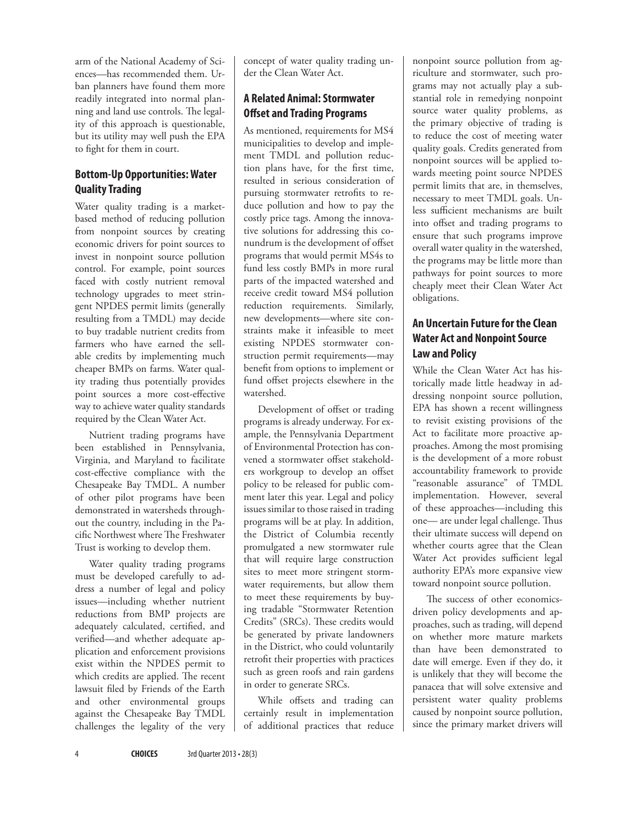arm of the National Academy of Sciences—has recommended them. Urban planners have found them more readily integrated into normal planning and land use controls. The legality of this approach is questionable, but its utility may well push the EPA to fight for them in court.

### **Bottom-Up Opportunities: Water Quality Trading**

Water quality trading is a marketbased method of reducing pollution from nonpoint sources by creating economic drivers for point sources to invest in nonpoint source pollution control. For example, point sources faced with costly nutrient removal technology upgrades to meet stringent NPDES permit limits (generally resulting from a TMDL) may decide to buy tradable nutrient credits from farmers who have earned the sellable credits by implementing much cheaper BMPs on farms. Water quality trading thus potentially provides point sources a more cost-effective way to achieve water quality standards required by the Clean Water Act.

Nutrient trading programs have been established in Pennsylvania, Virginia, and Maryland to facilitate cost-effective compliance with the Chesapeake Bay TMDL. A number of other pilot programs have been demonstrated in watersheds throughout the country, including in the Pacific Northwest where The Freshwater Trust is working to develop them.

Water quality trading programs must be developed carefully to address a number of legal and policy issues—including whether nutrient reductions from BMP projects are adequately calculated, certified, and verified—and whether adequate application and enforcement provisions exist within the NPDES permit to which credits are applied. The recent lawsuit filed by Friends of the Earth and other environmental groups against the Chesapeake Bay TMDL challenges the legality of the very concept of water quality trading under the Clean Water Act.

## **A Related Animal: Stormwater Offset and Trading Programs**

As mentioned, requirements for MS4 municipalities to develop and implement TMDL and pollution reduction plans have, for the first time, resulted in serious consideration of pursuing stormwater retrofits to reduce pollution and how to pay the costly price tags. Among the innovative solutions for addressing this conundrum is the development of offset programs that would permit MS4s to fund less costly BMPs in more rural parts of the impacted watershed and receive credit toward MS4 pollution reduction requirements. Similarly, new developments—where site constraints make it infeasible to meet existing NPDES stormwater construction permit requirements—may benefit from options to implement or fund offset projects elsewhere in the watershed.

Development of offset or trading programs is already underway. For example, the Pennsylvania Department of Environmental Protection has convened a stormwater offset stakeholders workgroup to develop an offset policy to be released for public comment later this year. Legal and policy issues similar to those raised in trading programs will be at play. In addition, the District of Columbia recently promulgated a new stormwater rule that will require large construction sites to meet more stringent stormwater requirements, but allow them to meet these requirements by buying tradable "Stormwater Retention Credits" (SRCs). These credits would be generated by private landowners in the District, who could voluntarily retrofit their properties with practices such as green roofs and rain gardens in order to generate SRCs.

While offsets and trading can certainly result in implementation of additional practices that reduce nonpoint source pollution from agriculture and stormwater, such programs may not actually play a substantial role in remedying nonpoint source water quality problems, as the primary objective of trading is to reduce the cost of meeting water quality goals. Credits generated from nonpoint sources will be applied towards meeting point source NPDES permit limits that are, in themselves, necessary to meet TMDL goals. Unless sufficient mechanisms are built into offset and trading programs to ensure that such programs improve overall water quality in the watershed, the programs may be little more than pathways for point sources to more cheaply meet their Clean Water Act obligations.

# **An Uncertain Future for the Clean Water Act and Nonpoint Source Law and Policy**

While the Clean Water Act has historically made little headway in addressing nonpoint source pollution, EPA has shown a recent willingness to revisit existing provisions of the Act to facilitate more proactive approaches. Among the most promising is the development of a more robust accountability framework to provide "reasonable assurance" of TMDL implementation. However, several of these approaches—including this one— are under legal challenge. Thus their ultimate success will depend on whether courts agree that the Clean Water Act provides sufficient legal authority EPA's more expansive view toward nonpoint source pollution.

The success of other economicsdriven policy developments and approaches, such as trading, will depend on whether more mature markets than have been demonstrated to date will emerge. Even if they do, it is unlikely that they will become the panacea that will solve extensive and persistent water quality problems caused by nonpoint source pollution, since the primary market drivers will